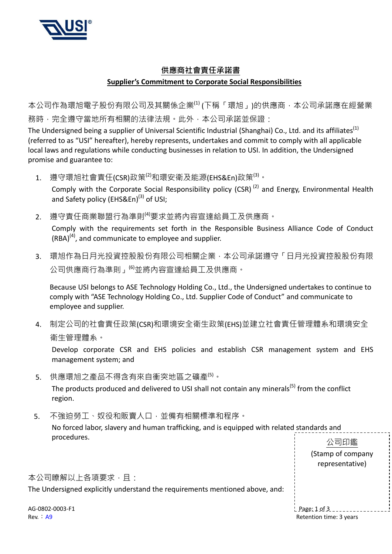

## 供應商社會責任承諾書 **Supplier's Commitment to Corporate Social Responsibilities**

本公司作為環旭電子股份有限公司及其關係企業(1) (下稱「環旭」)的供應商,本公司承諾應在經營業 務時,完全遵守當地所有相關的法律法規。此外,本公司承諾並保證:

The Undersigned being a supplier of Universal Scientific Industrial (Shanghai) Co., Ltd. and its affiliates<sup>(1)</sup> (referred to as "USI" hereafter), hereby represents, undertakes and commit to comply with all applicable local laws and regulations while conducting businesses in relation to USI. In addition, the Undersigned promise and guarantee to:

1. 遵守環旭社會責任(CSR)政策<sup>(2)</sup>和環安衛及能源(EHS&En)政策<sup>(3)。</sup>

Comply with the Corporate Social Responsibility policy (CSR)<sup>(2)</sup> and Energy, Environmental Health and Safety policy (EHS&En)<sup>(3)</sup> of USI;

- 2. 遵守責任商業聯盟行為準則<sup>(4)</sup>要求並將內容宣達給員工及供應商。 Comply with the requirements set forth in the Responsible Business Alliance Code of Conduct  $(RBA)^{(4)}$ , and communicate to employee and supplier.
- 3. 環旭作為日月光投資控股股份有限公司相關企業,本公司承諾遵守「日月光投資控股股份有限 公司供應商行為準則」<sup>(6)</sup>並將內容宣達給員工及供應商。

Because USI belongs to ASE Technology Holding Co., Ltd., the Undersigned undertakes to continue to comply with "ASE Technology Holding Co., Ltd. Supplier Code of Conduct" and communicate to employee and supplier.

4. 制定公司的社會責任政策(CSR)和環境安全衛生政策(EHS)並建立社會責任管理體系和環境安全 衛生管理體系。

Develop corporate CSR and EHS policies and establish CSR management system and EHS management system; and

5. 供應環旭之產品不得含有來自衝突地區之礦產<sup>(5)。</sup>

The products produced and delivered to USI shall not contain any minerals<sup>(5)</sup> from the conflict region.

5. 不強迫勞工、奴役和販賣人口,並備有相關標準和程序。

No forced labor, slavery and human trafficking, and is equipped with related standards and procedures.

| proccuurcu.                                                                  | 公司印鑑                                 |
|------------------------------------------------------------------------------|--------------------------------------|
|                                                                              | (Stamp of company<br>representative) |
| 本公司瞭解以上各項要求,且:                                                               |                                      |
| The Undersigned explicitly understand the requirements mentioned above, and: |                                      |
| AG-0802-0003-F1                                                              | $L$ Page: $1$ of $3$                 |
| Rev. A9                                                                      | Retention time: 3 years              |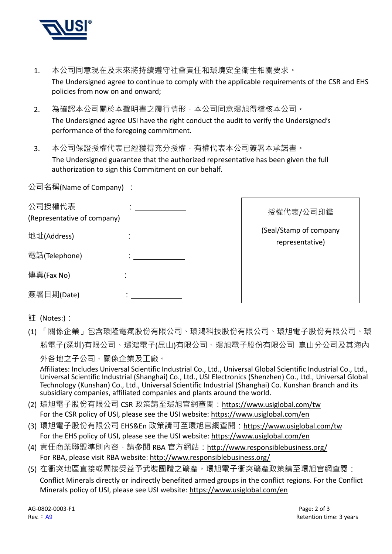

- 1. 本公司同意現在及未來將持續遵守社會責任和環境安全衛生相關要求。 The Undersigned agree to continue to comply with the applicable requirements of the CSR and EHS policies from now on and onward;
- 2. 為確認本公司關於本聲明書之履行情形,本公司同意環旭得稽核本公司。 The Undersigned agree USI have the right conduct the audit to verify the Undersigned's performance of the foregoing commitment.
- 3. 本公司保證授權代表已經獲得充分授權,有權代表本公司簽署本承諾書。 The Undersigned guarantee that the authorized representative has been given the full authorization to sign this Commitment on our behalf.

| 公司名稱(Name of Company) : ______        |                                           |
|---------------------------------------|-------------------------------------------|
| 公司授權代表<br>(Representative of company) | 授權代表/公司印鑑                                 |
| 地址(Address)                           | (Seal/Stamp of company<br>representative) |
| 電話(Telephone)                         |                                           |
| 傳真(Fax No)                            |                                           |
| 簽署日期(Date)                            |                                           |

- 註 (Notes:):
- (1) 「關係企業」包含環隆電氣股份有限公司、環鴻科技股份有限公司、環旭電子股份有限公司、環 勝電子(深圳)有限公司、環鴻電子(昆山)有限公司、環旭電子股份有限公司 崑山分公司及其海內 外各地之子公司、關係企業及工廠。

Affiliates: Includes Universal Scientific Industrial Co., Ltd., Universal Global Scientific Industrial Co., Ltd., Universal Scientific Industrial (Shanghai) Co., Ltd., USI Electronics (Shenzhen) Co., Ltd., Universal Global Technology (Kunshan) Co., Ltd., Universal Scientific Industrial (Shanghai) Co. Kunshan Branch and its subsidiary companies, affiliated companies and plants around the world.

- (2) 環旭電子股份有限公司 CSR 政策請至環旭官網查閱:https://www.usiglobal.com/tw For the CSR policy of USI, please see the USI website: https://www.usiglobal.com/en
- (3) 環旭電子股份有限公司 EHS&En 政策請可至環旭官網查閱:https://www.usiglobal.com/tw For the EHS policy of USI, please see the USI website: https://www.usiglobal.com/en
- (4) 責任商業聯盟準則內容,請參閱 RBA 官方網站: http://www.responsiblebusiness.org/ For RBA, please visit RBA website: http://www.responsiblebusiness.org/
- (5) 在衝突地區直接或間接受益予武裝團體之礦產。環旭電子衝突礦產政策請至環旭官網查閱: Conflict Minerals directly or indirectly benefited armed groups in the conflict regions. For the Conflict Minerals policy of USI, please see USI website: https://www.usiglobal.com/en